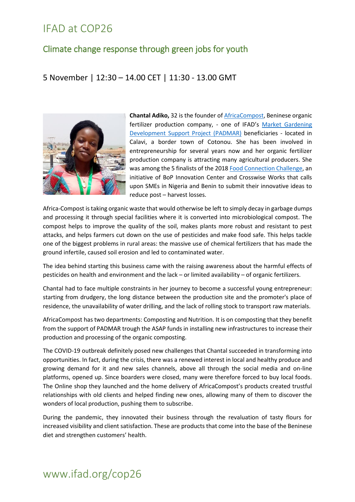#### Climate change response through green jobs for youth

#### 5 November | 12:30 – 14.00 CET | 11:30 - 13.00 GMT



**Chantal Adiko,** 32 is the founder of [AfricaCompost,](https://m.facebook.com/AfricaCompost-402920863230379/?_rdr) Beninese organic fertilizer production company, - one of IFAD's [Market Gardening](https://www.ifad.org/en/web/latest/-/news/benin-and-ifad-work-together-to-boost-food-and-nutrition-security-while-creating-jobs-for-young-people)  [Development Support Project \(PADMAR\)](https://www.ifad.org/en/web/latest/-/news/benin-and-ifad-work-together-to-boost-food-and-nutrition-security-while-creating-jobs-for-young-people) beneficiaries - located in Calavi, a border town of Cotonou. She has been involved in entrepreneurship for several years now and her organic fertilizer production company is attracting many agricultural producers. She was among the 5 finalists of the 2018 [Food Connection Challenge,](https://vc4a.com/food-connection-challenge/food-connection-challenge-2018/) an initiative of BoP Innovation Center and Crosswise Works that calls upon SMEs in Nigeria and Benin to submit their innovative ideas to reduce post – harvest losses.

Africa-Compost is taking organic waste that would otherwise be left to simply decay in garbage dumps and processing it through special facilities where it is converted into microbiological compost. The compost helps to improve the quality of the soil, makes plants more robust and resistant to pest attacks, and helps farmers cut down on the use of pesticides and make food safe. This helps tackle one of the biggest problems in rural areas: the massive use of chemical fertilizers that has made the ground infertile, caused soil erosion and led to contaminated water.

The idea behind starting this business came with the raising awareness about the harmful effects of pesticides on health and environment and the lack – or limited availability – of organic fertilizers.

Chantal had to face multiple constraints in her journey to become a successful young entrepreneur: starting from drudgery, the long distance between the production site and the promoter's place of residence, the unavailability of water drilling, and the lack of rolling stock to transport raw materials.

AfricaCompost has two departments: Composting and Nutrition. It is on composting that they benefit from the support of PADMAR trough the ASAP funds in installing new infrastructures to increase their production and processing of the organic composting.

The COVID-19 outbreak definitely posed new challenges that Chantal succeeded in transforming into opportunities. In fact, during the crisis, there was a renewed interest in local and healthy produce and growing demand for it and new sales channels, above all through the social media and on-line platforms, opened up. Since boarders were closed, many were therefore forced to buy local foods. The Online shop they launched and the home delivery of AfricaCompost's products created trustful relationships with old clients and helped finding new ones, allowing many of them to discover the wonders of local production, pushing them to subscribe.

During the pandemic, they innovated their business through the revaluation of tasty flours for increased visibility and client satisfaction. These are products that come into the base of the Beninese diet and strengthen customers' health.

#### www.ifad.org/cop26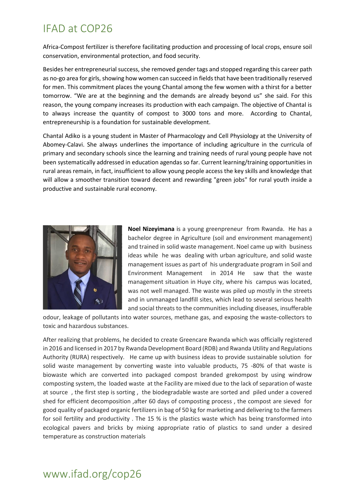Africa-Compost fertilizer is therefore facilitating production and processing of local crops, ensure soil conservation, environmental protection, and food security.

Besides her entrepreneurial success, she removed gender tags and stopped regarding this career path as no-go area for girls, showing how women can succeed in fields that have been traditionally reserved for men. This commitment places the young Chantal among the few women with a thirst for a better tomorrow. "We are at the beginning and the demands are already beyond us" she said. For this reason, the young company increases its production with each campaign. The objective of Chantal is to always increase the quantity of compost to 3000 tons and more. According to Chantal, entrepreneurship is a foundation for sustainable development.

Chantal Adiko is a young student in Master of Pharmacology and Cell Physiology at the University of Abomey-Calavi. She always underlines the importance of including agriculture in the curricula of primary and secondary schools since the learning and training needs of rural young people have not been systematically addressed in education agendas so far. Current learning/training opportunities in rural areas remain, in fact, insufficient to allow young people access the key skills and knowledge that will allow a smoother transition toward decent and rewarding "green jobs" for rural youth inside a productive and sustainable rural economy.



**Noel Nizeyimana** is a young greenpreneur from Rwanda. He has a bachelor degree in Agriculture (soil and environment management) and trained in solid waste management. Noel came up with business ideas while he was dealing with urban agriculture, and solid waste management issues as part of his undergraduate program in Soil and Environment Management in 2014 He saw that the waste management situation in Huye city, where his campus was located, was not well managed. The waste was piled up mostly in the streets and in unmanaged landfill sites, which lead to several serious health and social threats to the communities including diseases, insufferable

odour, leakage of pollutants into water sources, methane gas, and exposing the waste-collectors to toxic and hazardous substances.

After realizing that problems, he decided to create Greencare Rwanda which was officially registered in 2016 and licensed in 2017 by Rwanda Development Board (RDB) and Rwanda Utility and Regulations Authority (RURA) respectively. He came up with business ideas to provide sustainable solution for solid waste management by converting waste into valuable products, 75 -80% of that waste is biowaste which are converted into packaged compost branded grekompost by using windrow composting system, the loaded waste at the Facility are mixed due to the lack of separation of waste at source , the first step is sorting , the biodegradable waste are sorted and piled under a covered shed for efficient decomposition ,after 60 days of composting process , the compost are sieved for good quality of packaged organic fertilizers in bag of 50 kg for marketing and delivering to the farmers for soil fertility and productivity . The 15 % is the plastics waste which has being transformed into ecological pavers and bricks by mixing appropriate ratio of plastics to sand under a desired temperature as construction materials

## www.ifad.org/cop26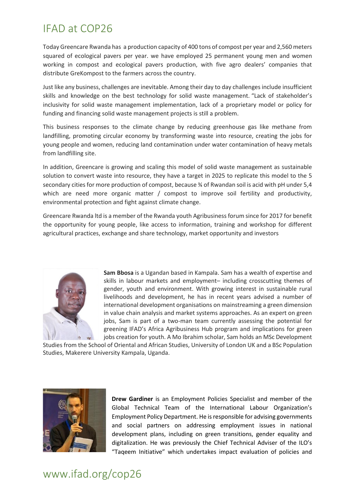Today Greencare Rwanda has a production capacity of 400 tons of compost per year and 2,560 meters squared of ecological pavers per year. we have employed 25 permanent young men and women working in compost and ecological pavers production, with five agro dealers' companies that distribute GreKompost to the farmers across the country.

Just like any business, challenges are inevitable. Among their day to day challenges include insufficient skills and knowledge on the best technology for solid waste management. "Lack of stakeholder's inclusivity for solid waste management implementation, lack of a proprietary model or policy for funding and financing solid waste management projects is still a problem.

This business responses to the climate change by reducing greenhouse gas like methane from landfilling, promoting circular economy by transforming waste into resource, creating the jobs for young people and women, reducing land contamination under water contamination of heavy metals from landfilling site.

In addition, Greencare is growing and scaling this model of solid waste management as sustainable solution to convert waste into resource, they have a target in 2025 to replicate this model to the 5 secondary cities for more production of compost, because % of Rwandan soil is acid with pH under 5,4 which are need more organic matter / compost to improve soil fertility and productivity, environmental protection and fight against climate change.

Greencare Rwanda ltd is a member of the Rwanda youth Agribusiness forum since for 2017 for benefit the opportunity for young people, like access to information, training and workshop for different agricultural practices, exchange and share technology, market opportunity and investors



**Sam Bbosa** is a Ugandan based in Kampala. Sam has a wealth of expertise and skills in labour markets and employment– including crosscutting themes of gender, youth and environment. With growing interest in sustainable rural livelihoods and development, he has in recent years advised a number of international development organisations on mainstreaming a green dimension in value chain analysis and market systems approaches. As an expert on green jobs, Sam is part of a two-man team currently assessing the potential for greening IFAD's Africa Agribusiness Hub program and implications for green jobs creation for youth. A Mo Ibrahim scholar, Sam holds an MSc Development

Studies from the School of Oriental and African Studies, University of London UK and a BSc Population Studies, Makerere University Kampala, Uganda.



**Drew Gardiner** is an Employment Policies Specialist and member of the Global Technical Team of the International Labour Organization's Employment Policy Department. He is responsible for advising governments and social partners on addressing employment issues in national development plans, including on green transitions, gender equality and digitalization. He was previously the Chief Technical Adviser of the ILO's "Taqeem Initiative" which undertakes impact evaluation of policies and

#### www.ifad.org/cop26